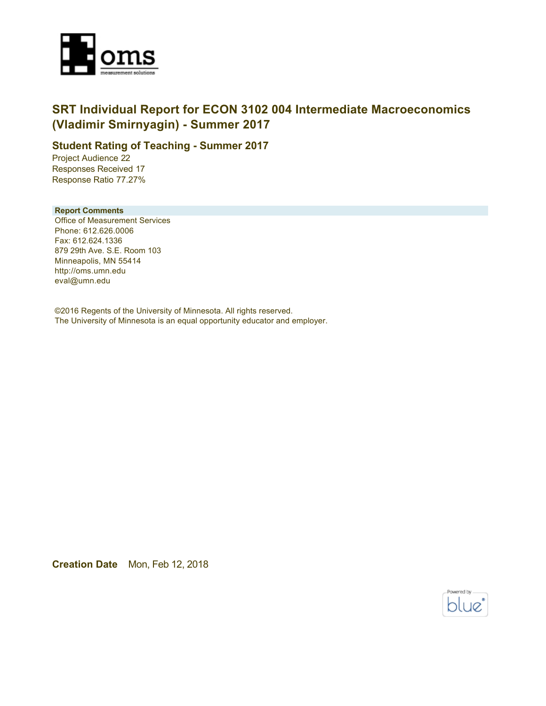

### **SRT Individual Report for ECON 3102 004 Intermediate Macroeconomics (Vladimir Smirnyagin) - Summer 2017**

### **Student Rating of Teaching - Summer 2017**

Project Audience 22 Responses Received 17 Response Ratio 77.27%

#### **Report Comments**

Office of Measurement Services Phone: 612.626.0006 Fax: 612.624.1336 879 29th Ave. S.E. Room 103 Minneapolis, MN 55414 http://oms.umn.edu eval@umn.edu

©2016 Regents of the University of Minnesota. All rights reserved. The University of Minnesota is an equal opportunity educator and employer.

**Creation Date** Mon, Feb 12, 2018

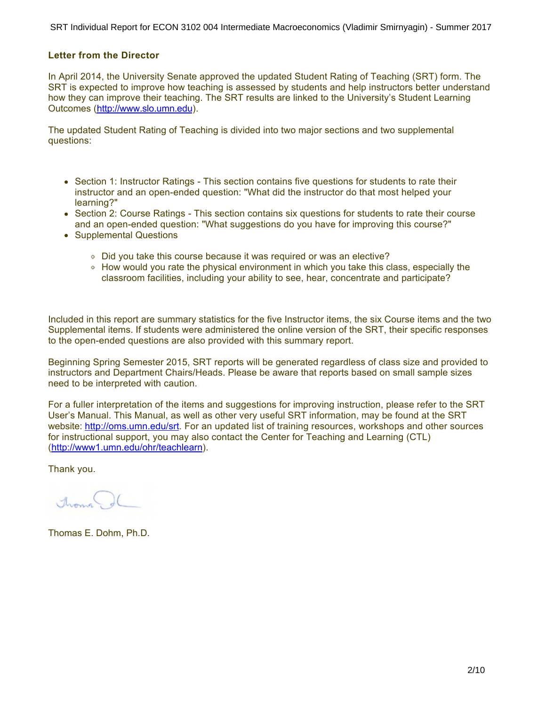SRT Individual Report for ECON 3102 004 Intermediate Macroeconomics (Vladimir Smirnyagin) - Summer 2017

#### **Letter from the Director**

In April 2014, the University Senate approved the updated Student Rating of Teaching (SRT) form. The SRT is expected to improve how teaching is assessed by students and help instructors better understand how they can improve their teaching. The SRT results are linked to the University's Student Learning Outcomes (<http://www.slo.umn.edu>).

The updated Student Rating of Teaching is divided into two major sections and two supplemental questions:

- Section 1: Instructor Ratings This section contains five questions for students to rate their instructor and an open-ended question: "What did the instructor do that most helped your learning?"
- Section 2: Course Ratings This section contains six questions for students to rate their course and an open-ended question: "What suggestions do you have for improving this course?"
- Supplemental Questions
	- Did you take this course because it was required or was an elective?
	- How would you rate the physical environment in which you take this class, especially the classroom facilities, including your ability to see, hear, concentrate and participate?

Included in this report are summary statistics for the five Instructor items, the six Course items and the two Supplemental items. If students were administered the online version of the SRT, their specific responses to the open-ended questions are also provided with this summary report.

Beginning Spring Semester 2015, SRT reports will be generated regardless of class size and provided to instructors and Department Chairs/Heads. Please be aware that reports based on small sample sizes need to be interpreted with caution.

For a fuller interpretation of the items and suggestions for improving instruction, please refer to the SRT User's Manual. This Manual, as well as other very useful SRT information, may be found at the SRT website:<http://oms.umn.edu/srt>. For an updated list of training resources, workshops and other sources for instructional support, you may also contact the Center for Teaching and Learning (CTL) (<http://www1.umn.edu/ohr/teachlearn>).

Thank you.

Aroma

Thomas E. Dohm, Ph.D.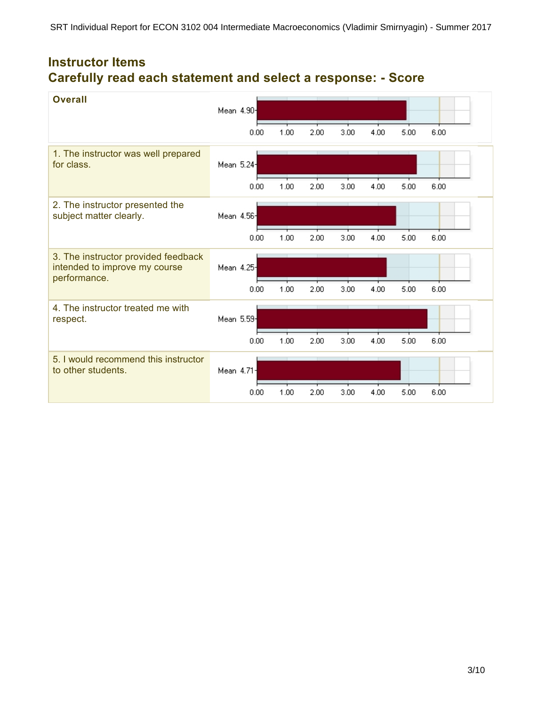## **Instructor Items Carefully read each statement and select a response: - Score**

| <b>Overall</b>                                                                       | Mean 4.90- |      |      |      |      |      |      |
|--------------------------------------------------------------------------------------|------------|------|------|------|------|------|------|
|                                                                                      | 0.00       | 1.00 | 2.00 | 3.00 | 4.00 | 5.00 | 6.00 |
| 1. The instructor was well prepared<br>for class.                                    | Mean 5.24- |      |      |      |      |      |      |
|                                                                                      | 0.00       | 1.00 | 2.00 | 3.00 | 4.00 | 5.00 | 6.00 |
| 2. The instructor presented the<br>subject matter clearly.                           | Mean 4.56- |      |      |      |      |      |      |
|                                                                                      | 0.00       | 1.00 | 2.00 | 3.00 | 4.00 | 5.00 | 6.00 |
| 3. The instructor provided feedback<br>intended to improve my course<br>performance. | Mean 4.25  |      |      |      |      |      |      |
|                                                                                      | 0.00       | 1.00 | 2.00 | 3.00 | 4.00 | 5.00 | 6.00 |
| 4. The instructor treated me with<br>respect.                                        | Mean 5.59- |      |      |      |      |      |      |
|                                                                                      | 0.00       | 1.00 | 2.00 | 3.00 | 4.00 | 5.00 | 6.00 |
| 5. I would recommend this instructor<br>to other students.                           | Mean 4.71- |      |      |      |      |      |      |
|                                                                                      | 0.00       | 1.00 | 2.00 | 3.00 | 4.00 | 5.00 | 6.00 |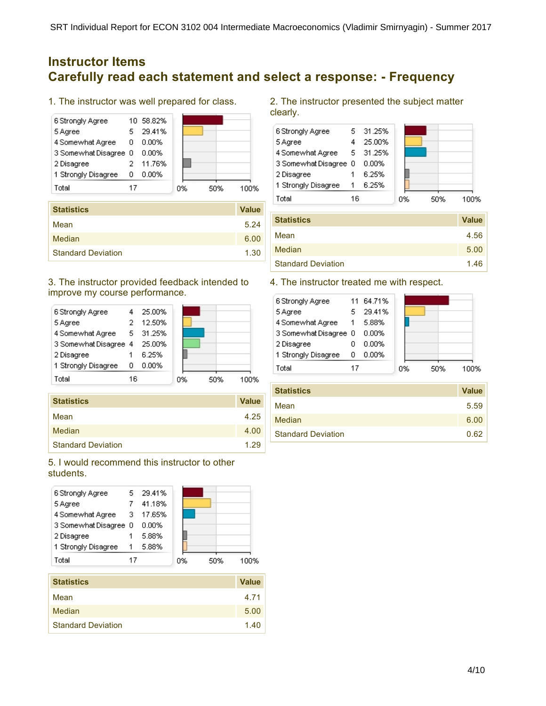### **Instructor Items Carefully read each statement and select a response: - Frequency**

1. The instructor was well prepared for class.



| <b>Statistics</b>         | <b>Value</b> |
|---------------------------|--------------|
| Mean                      | 5.24         |
| Median                    | 6.00         |
| <b>Standard Deviation</b> | 1.30         |

#### 3. The instructor provided feedback intended to improve my course performance.



| <b>Statistics</b>         | <b>Value</b> |
|---------------------------|--------------|
| Mean                      | 4.25         |
| Median                    | 4.00         |
| <b>Standard Deviation</b> | 1.29         |

### 5. I would recommend this instructor to other students.



| <b>Statistics</b>         | <b>Value</b> |
|---------------------------|--------------|
| Mean                      | 4.71         |
| Median                    | 5.00         |
| <b>Standard Deviation</b> | 1.40         |

2. The instructor presented the subject matter clearly.



| <b>Statistics</b>         | <b>Value</b> |
|---------------------------|--------------|
| Mean                      | 4.56         |
| Median                    | 5.00         |
| <b>Standard Deviation</b> | 1.46         |

### 4. The instructor treated me with respect.

| 6 Strongly Agree      |              | 11 64.71% |    |     |      |
|-----------------------|--------------|-----------|----|-----|------|
| 5 Agree               | 5            | 29.41%    |    |     |      |
| 4 Somewhat Agree      | $\mathbf{1}$ | 5.88%     |    |     |      |
| 3 Somewhat Disagree 0 |              | 0.00%     |    |     |      |
| 2 Disagree            |              | 0.00%     |    |     |      |
| 1 Strongly Disagree   | ο            | $0.00\%$  |    |     |      |
| Total                 | 17           |           | 0% | 50% | 1በበ% |

| <b>Statistics</b>         | <b>Value</b> |
|---------------------------|--------------|
| Mean                      | 5.59         |
| <b>Median</b>             | 6.00         |
| <b>Standard Deviation</b> | 0.62         |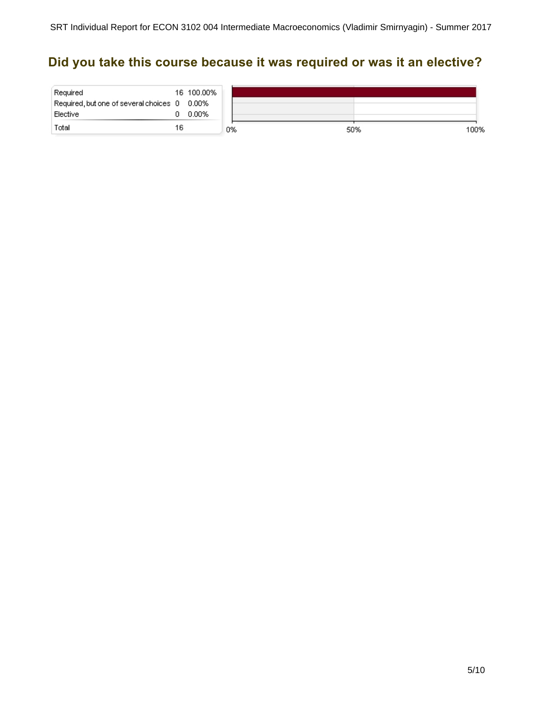# **Did you take this course because it was required or was it an elective?**

| Required                                     |    | 16 100.00% |    |             |
|----------------------------------------------|----|------------|----|-------------|
| Required, but one of several choices 0 0.00% |    |            |    |             |
| Elective                                     |    | 0.00%      |    |             |
| Total                                        | 16 |            | 0% | 50%<br>100% |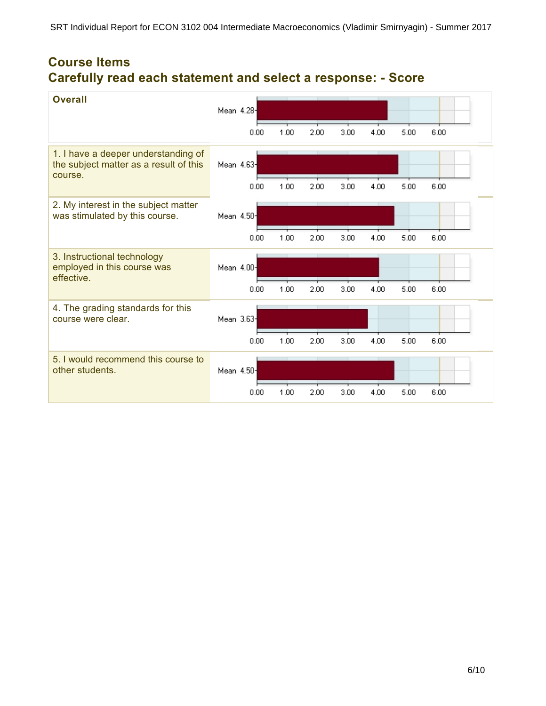## **Course Items Carefully read each statement and select a response: - Score**

| <b>Overall</b>                                                                           | Mean 4.284             |      |      |      |      |      |      |
|------------------------------------------------------------------------------------------|------------------------|------|------|------|------|------|------|
|                                                                                          | 0.00                   | 1.00 | 2.00 | 3.00 | 4.00 | 5.00 | 6.00 |
| 1. I have a deeper understanding of<br>the subject matter as a result of this<br>course. | Mean 4.63 <sup>-</sup> |      |      |      |      |      |      |
|                                                                                          | 0.00                   | 1.00 | 2.00 | 3.00 | 4.00 | 5.00 | 6.00 |
| 2. My interest in the subject matter<br>was stimulated by this course.                   | Mean 4.50-             |      |      |      |      |      |      |
|                                                                                          | 0.00                   | 1.00 | 2.00 | 3.00 | 4.00 | 5.00 | 6.00 |
| 3. Instructional technology<br>employed in this course was<br>effective.                 | Mean 4.00-             |      |      |      |      |      |      |
|                                                                                          | 0.00                   | 1.00 | 2.00 | 3.00 | 4.00 | 5.00 | 6.00 |
| 4. The grading standards for this<br>course were clear.                                  | Mean 3.63 <sup>-</sup> |      |      |      |      |      |      |
|                                                                                          | 0.00                   | 1.00 | 2.00 | 3.00 | 4.00 | 5.00 | 6.00 |
| 5. I would recommend this course to<br>other students.                                   | Mean 4.50-             |      |      |      |      |      |      |
|                                                                                          | 0.00                   | 1.00 | 2.00 | 3.00 | 4.00 | 5.00 | 6.00 |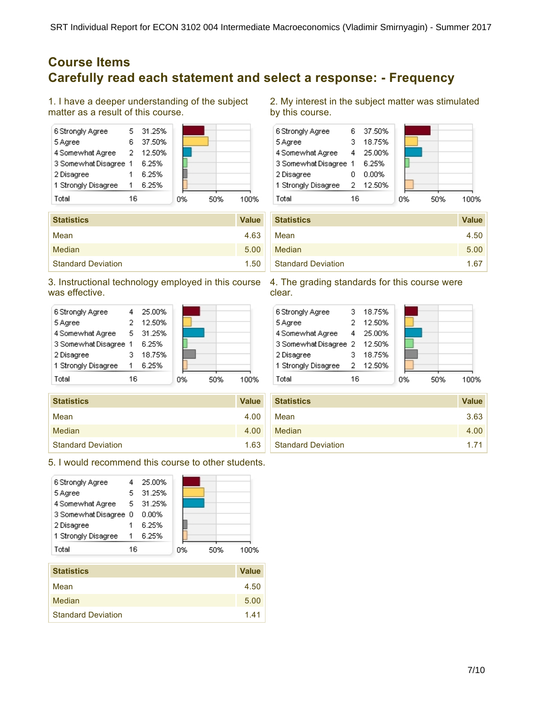### **Course Items Carefully read each statement and select a response: - Frequency**

1. I have a deeper understanding of the subject matter as a result of this course.



| <b>Statistics</b>         | <b>Value</b> |
|---------------------------|--------------|
| Mean                      | 4.63         |
| <b>Median</b>             | 5.00         |
| <b>Standard Deviation</b> | 1.50         |

#### 3. Instructional technology employed in this course was effective.



| <b>Statistics</b>         | <b>Value</b> |
|---------------------------|--------------|
| Mean                      | 4.00         |
| Median                    | 4.00         |
| <b>Standard Deviation</b> | 1.63         |

5. I would recommend this course to other students.



| <b>Statistics</b>         | <b>Value</b> |
|---------------------------|--------------|
| Mean                      | 4.50         |
| Median                    | 5.00         |
| <b>Standard Deviation</b> | 1.41         |

2. My interest in the subject matter was stimulated by this course.



| <b>Statistics</b>         | <b>Value</b> |
|---------------------------|--------------|
| Mean                      | 4.50         |
| Median                    | 5.00         |
| <b>Standard Deviation</b> | 1.67         |

#### 4. The grading standards for this course were clear.

| 6 Strongly Agree             |    | 18.75% |    |     |      |
|------------------------------|----|--------|----|-----|------|
| 5 Agree                      |    | 12.50% |    |     |      |
| 4 Somewhat Agree             | 4  | 25.00% |    |     |      |
| 3 Somewhat Disagree 2 12.50% |    |        |    |     |      |
| 2 Disagree                   |    | 18.75% |    |     |      |
| 1 Strongly Disagree 2 12.50% |    |        |    |     |      |
| Total                        | 16 |        | 0% | 50% | 100% |

| <b>Statistics</b>         | <b>Value</b> |
|---------------------------|--------------|
| Mean                      | 3.63         |
| Median                    | 4.00         |
| <b>Standard Deviation</b> | 1.71         |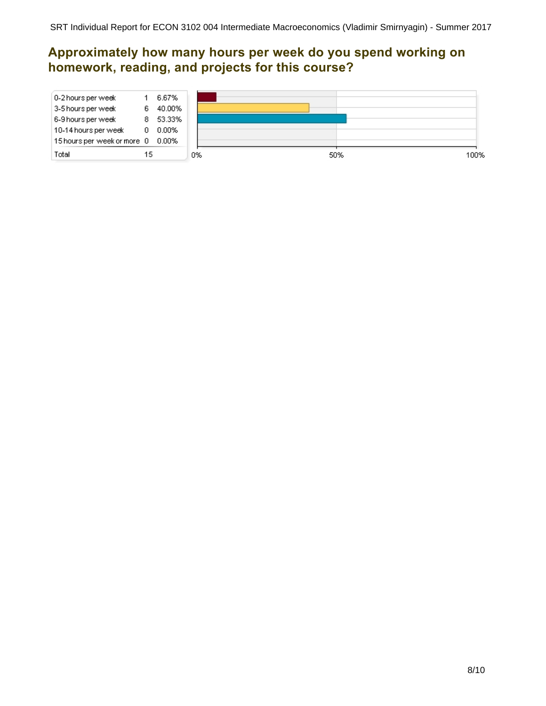## **Approximately how many hours per week do you spend working on homework, reading, and projects for this course?**

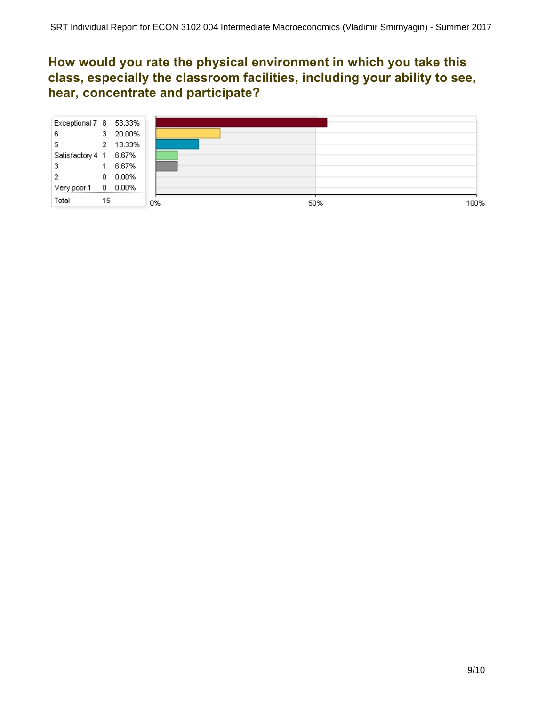## **How would you rate the physical environment in which you take this class, especially the classroom facilities, including your ability to see, hear, concentrate and participate?**